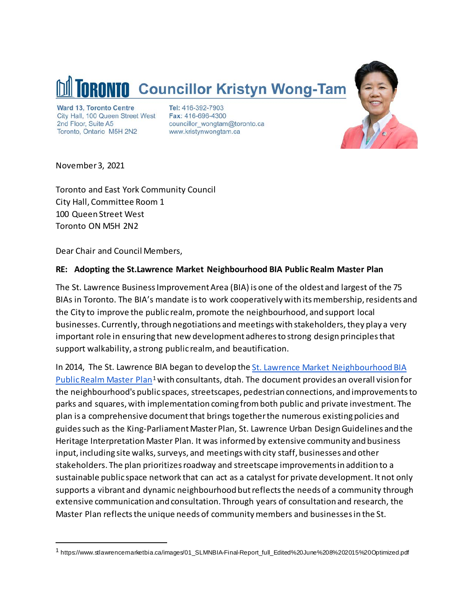

Ward 13, Toronto Centre City Hall, 100 Queen Street West 2nd Floor, Suite A5 Toronto, Ontario M5H 2N2

Tel: 416-392-7903 Fax: 416-696-4300 councillor\_wongtam@toronto.ca www.kristynwongtam.ca



November 3, 2021

Toronto and East York Community Council City Hall, Committee Room 1 100 Queen Street West Toronto ON M5H 2N2

Dear Chair and Council Members,

## **RE: Adopting the St.Lawrence Market Neighbourhood BIA Public Realm Master Plan**

The St. Lawrence Business Improvement Area (BIA) is one of the oldest and largest of the 75 BIAs in Toronto. The BIA's mandate is to work cooperatively with its membership, residents and the City to improve the public realm, promote the neighbourhood, and support local businesses. Currently, through negotiations and meetings with stakeholders, they play a very important role in ensuring that new development adheres to strong design principles that support walkability, a strong public realm, and beautification.

In 2014, The St. Lawrence BIA began to develop th[e St. Lawrence Market Neighbourhood BIA](https://www.stlawrencemarketbia.ca/images/01_SLMNBIA-Final-Report_full_Edited%20June%208%202015%20Optimized.pdf)  [Public Realm Master Plan](https://www.stlawrencemarketbia.ca/images/01_SLMNBIA-Final-Report_full_Edited%20June%208%202015%20Optimized.pdf)<sup>[1](#page-0-0)</sup> with consultants, dtah. The document provides an overall vision for the neighbourhood's public spaces, streetscapes, pedestrian connections, and improvements to parks and squares, with implementation coming from both public and private investment. The plan is a comprehensive document that brings together the numerous existing policies and guides such as the King-Parliament Master Plan, St. Lawrence Urban Design Guidelines and the Heritage Interpretation Master Plan. It was informed by extensive community and business input, including site walks, surveys, and meetings with city staff, businesses and other stakeholders. The plan prioritizes roadway and streetscape improvements in addition to a sustainable public space network that can act as a catalyst for private development. It not only supports a vibrant and dynamic neighbourhood but reflects the needs of a community through extensive communication and consultation. Through years of consultation and research, the Master Plan reflects the unique needs of communitymembers and businesses in the St.

<span id="page-0-0"></span> <sup>1</sup> https://www.stlawrencemarketbia.ca/images/01\_SLMNBIA-Final-Report\_full\_Edited%20June%208%202015%20Optimized.pdf